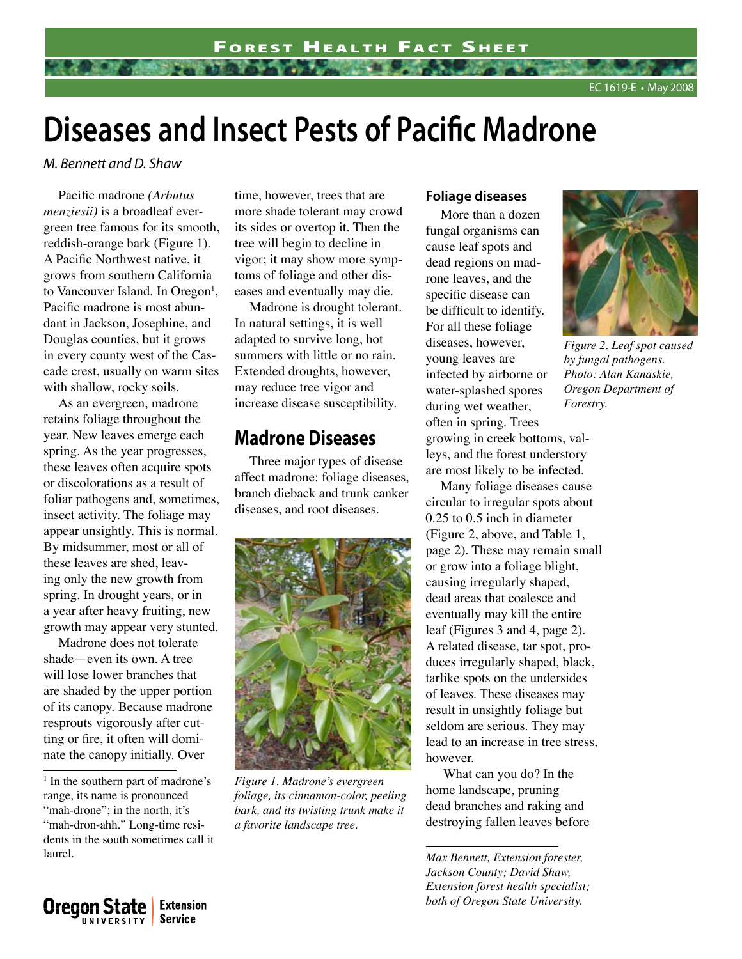# **Diseases and Insect Pests of Pacific Madrone**

*M. Bennett and D. Shaw*

Pacific madrone *(Arbutus menziesii)* is a broadleaf evergreen tree famous for its smooth, reddish-orange bark (Figure 1). A Pacific Northwest native, it grows from southern California to Vancouver Island. In Oregon<sup>1</sup>, Pacific madrone is most abundant in Jackson, Josephine, and Douglas counties, but it grows in every county west of the Cascade crest, usually on warm sites with shallow, rocky soils.

As an evergreen, madrone retains foliage throughout the year. New leaves emerge each spring. As the year progresses, these leaves often acquire spots or discolorations as a result of foliar pathogens and, sometimes, insect activity. The foliage may appear unsightly. This is normal. By midsummer, most or all of these leaves are shed, leaving only the new growth from spring. In drought years, or in a year after heavy fruiting, new growth may appear very stunted.

Madrone does not tolerate shade—even its own. A tree will lose lower branches that are shaded by the upper portion of its canopy. Because madrone resprouts vigorously after cutting or fire, it often will dominate the canopy initially. Over

<sup>1</sup> In the southern part of madrone's range, its name is pronounced "mah-drone"; in the north, it's "mah-dron-ahh." Long-time residents in the south sometimes call it laurel.

> **Extension Service**

**Oregon State** 

UNIVERSITY

time, however, trees that are more shade tolerant may crowd its sides or overtop it. Then the tree will begin to decline in vigor; it may show more symptoms of foliage and other diseases and eventually may die.

Madrone is drought tolerant. In natural settings, it is well adapted to survive long, hot summers with little or no rain. Extended droughts, however, may reduce tree vigor and increase disease susceptibility.

## **Madrone Diseases**

Three major types of disease affect madrone: foliage diseases, branch dieback and trunk canker diseases, and root diseases.



*Figure 1. Madrone's evergreen foliage, its cinnamon-color, peeling bark, and its twisting trunk make it a favorite landscape tree.* 

#### **Foliage diseases**

More than a dozen fungal organisms can cause leaf spots and dead regions on madrone leaves, and the specific disease can be difficult to identify. For all these foliage diseases, however, young leaves are infected by airborne or water-splashed spores during wet weather, often in spring. Trees growing in creek bottoms, valleys, and the forest understory are most likely to be infected.

Many foliage diseases cause circular to irregular spots about 0.25 to 0.5 inch in diameter (Figure 2, above, and Table 1, page 2). These may remain small or grow into a foliage blight, causing irregularly shaped, dead areas that coalesce and eventually may kill the entire leaf (Figures 3 and 4, page 2). A related disease, tar spot, produces irregularly shaped, black, tarlike spots on the undersides of leaves. These diseases may result in unsightly foliage but seldom are serious. They may lead to an increase in tree stress, however.

What can you do? In the home landscape, pruning dead branches and raking and destroying fallen leaves before

*Max Bennett, Extension forester, Jackson County; David Shaw, Extension forest health specialist; both of Oregon State University.*



*Figure 2. Leaf spot caused by fungal pathogens. Photo: Alan Kanaskie, Oregon Department of Forestry.*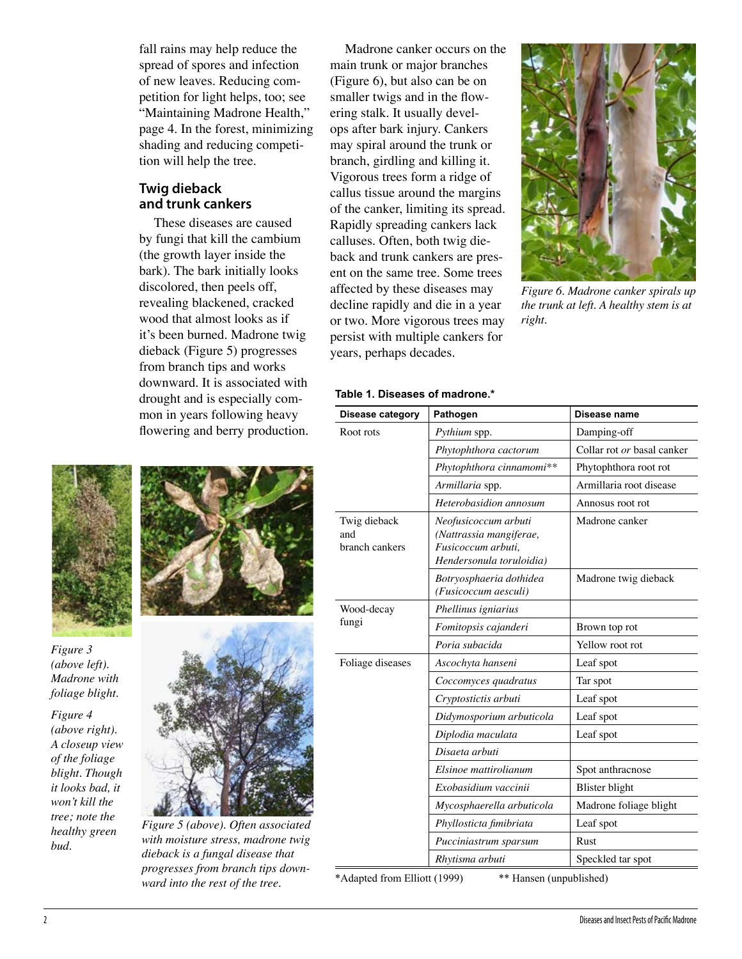fall rains may help reduce the spread of spores and infection of new leaves. Reducing competition for light helps, too; see "Maintaining Madrone Health," page 4. In the forest, minimizing shading and reducing competition will help the tree.

### **Twig dieback and trunk cankers**

These diseases are caused by fungi that kill the cambium (the growth layer inside the bark). The bark initially looks discolored, then peels off, revealing blackened, cracked wood that almost looks as if it's been burned. Madrone twig dieback (Figure 5) progresses from branch tips and works downward. It is associated with drought and is especially common in years following heavy flowering and berry production.

Madrone canker occurs on the main trunk or major branches (Figure 6), but also can be on smaller twigs and in the flowering stalk. It usually develops after bark injury. Cankers may spiral around the trunk or branch, girdling and killing it. Vigorous trees form a ridge of callus tissue around the margins of the canker, limiting its spread. Rapidly spreading cankers lack calluses. Often, both twig dieback and trunk cankers are present on the same tree. Some trees affected by these diseases may decline rapidly and die in a year or two. More vigorous trees may persist with multiple cankers for years, perhaps decades.



*Figure 6. Madrone canker spirals up the trunk at left. A healthy stem is at right.*

#### **Table 1. Diseases of madrone.\***

| Disease category                                        | Pathogen                                                                                          | Disease name               |  |
|---------------------------------------------------------|---------------------------------------------------------------------------------------------------|----------------------------|--|
| Root rots                                               | Pythium spp.                                                                                      | Damping-off                |  |
|                                                         | Phytophthora cactorum                                                                             | Collar rot or basal canker |  |
|                                                         | Phytophthora cinnamomi**                                                                          | Phytophthora root rot      |  |
|                                                         | Armillaria spp.                                                                                   | Armillaria root disease    |  |
|                                                         | Heterobasidion annosum                                                                            | Annosus root rot           |  |
| Twig dieback<br>and<br>branch cankers                   | Neofusicoccum arbuti<br>(Nattrassia mangiferae,<br>Fusicoccum arbuti,<br>Hendersonula toruloidia) | Madrone canker             |  |
|                                                         | Botryosphaeria dothidea<br>(Fusicoccum aesculi)                                                   | Madrone twig dieback       |  |
| Wood-decay<br>fungi                                     | Phellinus igniarius                                                                               |                            |  |
|                                                         | Fomitopsis cajanderi                                                                              | Brown top rot              |  |
|                                                         | Poria subacida                                                                                    | Yellow root rot            |  |
| Foliage diseases                                        | Ascochyta hanseni                                                                                 | Leaf spot                  |  |
|                                                         | Coccomyces quadratus                                                                              | Tar spot                   |  |
|                                                         | Cryptostictis arbuti                                                                              | Leaf spot                  |  |
|                                                         | Didymosporium arbuticola                                                                          | Leaf spot                  |  |
|                                                         | Diplodia maculata                                                                                 | Leaf spot                  |  |
|                                                         | Disaeta arbuti                                                                                    |                            |  |
|                                                         | Elsinoe mattirolianum                                                                             | Spot anthracnose           |  |
|                                                         | Exobasidium vaccinii                                                                              | <b>Blister</b> blight      |  |
|                                                         | Mycosphaerella arbuticola                                                                         | Madrone foliage blight     |  |
|                                                         | Phyllosticta fimibriata                                                                           | Leaf spot                  |  |
|                                                         | Pucciniastrum sparsum                                                                             | Rust                       |  |
|                                                         | Rhytisma arbuti                                                                                   | Speckled tar spot          |  |
| *Adapted from Elliott (1999)<br>** Hansen (unpublished) |                                                                                                   |                            |  |



*Figure 3 (above left). Madrone with foliage blight.*

*Figure 4 (above right). A closeup view of the foliage blight. Though it looks bad, it won't kill the tree; note the healthy green bud.*





*Figure 5 (above). Often associated with moisture stress, madrone twig dieback is a fungal disease that progresses from branch tips downward into the rest of the tree.*

2 Diseases and Insect Pests of Pacific Madrone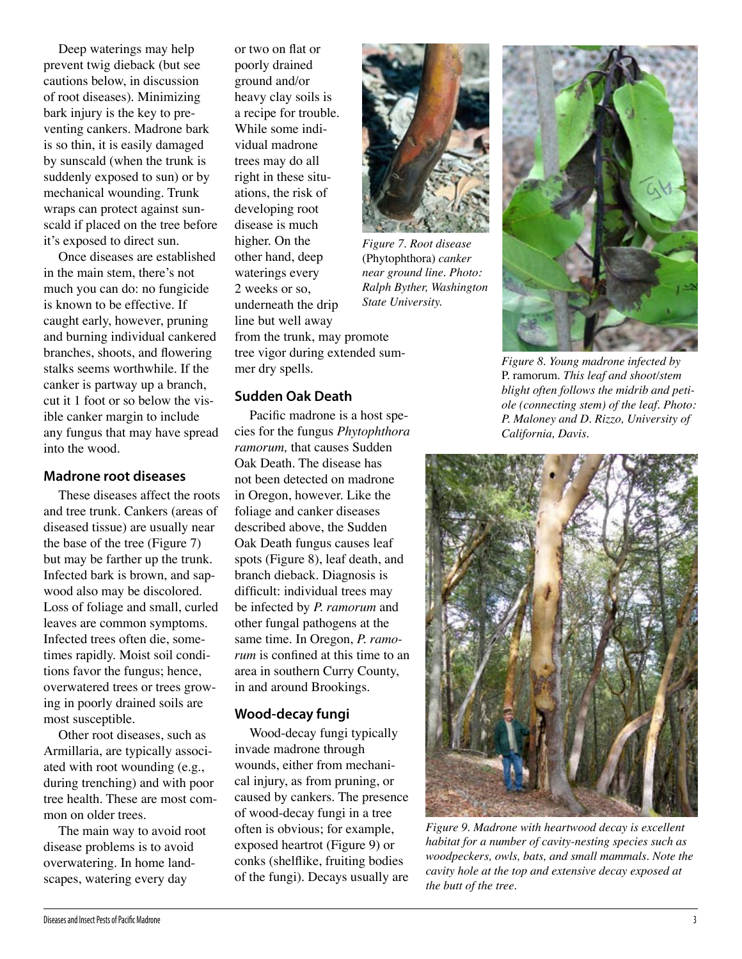Deep waterings may help prevent twig dieback (but see cautions below, in discussion of root diseases). Minimizing bark injury is the key to preventing cankers. Madrone bark is so thin, it is easily damaged by sunscald (when the trunk is suddenly exposed to sun) or by mechanical wounding. Trunk wraps can protect against sunscald if placed on the tree before it's exposed to direct sun.

Once diseases are established in the main stem, there's not much you can do: no fungicide is known to be effective. If caught early, however, pruning and burning individual cankered branches, shoots, and flowering stalks seems worthwhile. If the canker is partway up a branch, cut it 1 foot or so below the visible canker margin to include any fungus that may have spread into the wood.

#### **Madrone root diseases**

These diseases affect the roots and tree trunk. Cankers (areas of diseased tissue) are usually near the base of the tree (Figure 7) but may be farther up the trunk. Infected bark is brown, and sapwood also may be discolored. Loss of foliage and small, curled leaves are common symptoms. Infected trees often die, sometimes rapidly. Moist soil conditions favor the fungus; hence, overwatered trees or trees growing in poorly drained soils are most susceptible.

Other root diseases, such as Armillaria, are typically associated with root wounding (e.g., during trenching) and with poor tree health. These are most common on older trees.

The main way to avoid root disease problems is to avoid overwatering. In home landscapes, watering every day

or two on flat or poorly drained ground and/or heavy clay soils is a recipe for trouble. While some individual madrone trees may do all right in these situations, the risk of developing root disease is much higher. On the other hand, deep waterings every 2 weeks or so, underneath the drip line but well away from the trunk, may promote tree vigor during extended summer dry spells.

#### **Sudden Oak Death**

Pacific madrone is a host species for the fungus *Phytophthora ramorum,* that causes Sudden Oak Death. The disease has not been detected on madrone in Oregon, however. Like the foliage and canker diseases described above, the Sudden Oak Death fungus causes leaf spots (Figure 8), leaf death, and branch dieback. Diagnosis is difficult: individual trees may be infected by *P. ramorum* and other fungal pathogens at the same time. In Oregon, *P. ramorum* is confined at this time to an area in southern Curry County, in and around Brookings.

#### **Wood-decay fungi**

Wood-decay fungi typically invade madrone through wounds, either from mechanical injury, as from pruning, or caused by cankers. The presence of wood-decay fungi in a tree often is obvious; for example, exposed heartrot (Figure 9) or conks (shelflike, fruiting bodies of the fungi). Decays usually are



*Figure 7. Root disease*  (Phytophthora) *canker near ground line. Photo: Ralph Byther, Washington State University.*



*Figure 8. Young madrone infected by*  P. ramorum. *This leaf and shoot/stem blight often follows the midrib and petiole (connecting stem) of the leaf. Photo: P. Maloney and D. Rizzo, University of California, Davis.*



*Figure 9. Madrone with heartwood decay is excellent habitat for a number of cavity-nesting species such as woodpeckers, owls, bats, and small mammals. Note the cavity hole at the top and extensive decay exposed at the butt of the tree.*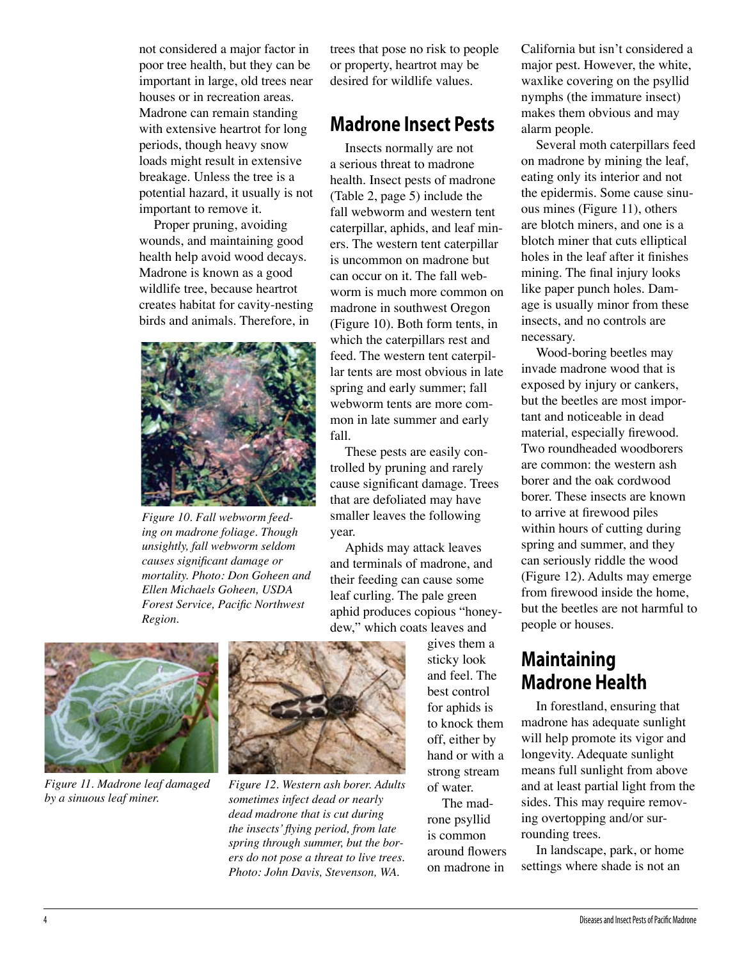not considered a major factor in poor tree health, but they can be important in large, old trees near houses or in recreation areas. Madrone can remain standing with extensive heartrot for long periods, though heavy snow loads might result in extensive breakage. Unless the tree is a potential hazard, it usually is not important to remove it.

Proper pruning, avoiding wounds, and maintaining good health help avoid wood decays. Madrone is known as a good wildlife tree, because heartrot creates habitat for cavity-nesting birds and animals. Therefore, in



*Figure 10. Fall webworm feeding on madrone foliage. Though unsightly, fall webworm seldom causes significant damage or mortality. Photo: Don Goheen and Ellen Michaels Goheen, USDA Forest Service, Pacific Northwest Region.*

trees that pose no risk to people or property, heartrot may be desired for wildlife values.

## **Madrone Insect Pests**

Insects normally are not a serious threat to madrone health. Insect pests of madrone (Table 2, page 5) include the fall webworm and western tent caterpillar, aphids, and leaf miners. The western tent caterpillar is uncommon on madrone but can occur on it. The fall webworm is much more common on madrone in southwest Oregon (Figure 10). Both form tents, in which the caterpillars rest and feed. The western tent caterpillar tents are most obvious in late spring and early summer; fall webworm tents are more common in late summer and early fall.

These pests are easily controlled by pruning and rarely cause significant damage. Trees that are defoliated may have smaller leaves the following year.

Aphids may attack leaves and terminals of madrone, and their feeding can cause some leaf curling. The pale green aphid produces copious "honeydew," which coats leaves and



*Figure 11. Madrone leaf damaged by a sinuous leaf miner.*



*Figure 12. Western ash borer. Adults sometimes infect dead or nearly dead madrone that is cut during the insects' flying period, from late spring through summer, but the borers do not pose a threat to live trees. Photo: John Davis, Stevenson, WA.*

gives them a sticky look and feel. The best control for aphids is to knock them off, either by hand or with a strong stream of water.

The madrone psyllid is common around flowers on madrone in

California but isn't considered a major pest. However, the white, waxlike covering on the psyllid nymphs (the immature insect) makes them obvious and may alarm people.

Several moth caterpillars feed on madrone by mining the leaf, eating only its interior and not the epidermis. Some cause sinuous mines (Figure 11), others are blotch miners, and one is a blotch miner that cuts elliptical holes in the leaf after it finishes mining. The final injury looks like paper punch holes. Damage is usually minor from these insects, and no controls are necessary.

Wood-boring beetles may invade madrone wood that is exposed by injury or cankers, but the beetles are most important and noticeable in dead material, especially firewood. Two roundheaded woodborers are common: the western ash borer and the oak cordwood borer. These insects are known to arrive at firewood piles within hours of cutting during spring and summer, and they can seriously riddle the wood (Figure 12). Adults may emerge from firewood inside the home, but the beetles are not harmful to people or houses.

## **Maintaining Madrone Health**

In forestland, ensuring that madrone has adequate sunlight will help promote its vigor and longevity. Adequate sunlight means full sunlight from above and at least partial light from the sides. This may require removing overtopping and/or surrounding trees.

In landscape, park, or home settings where shade is not an